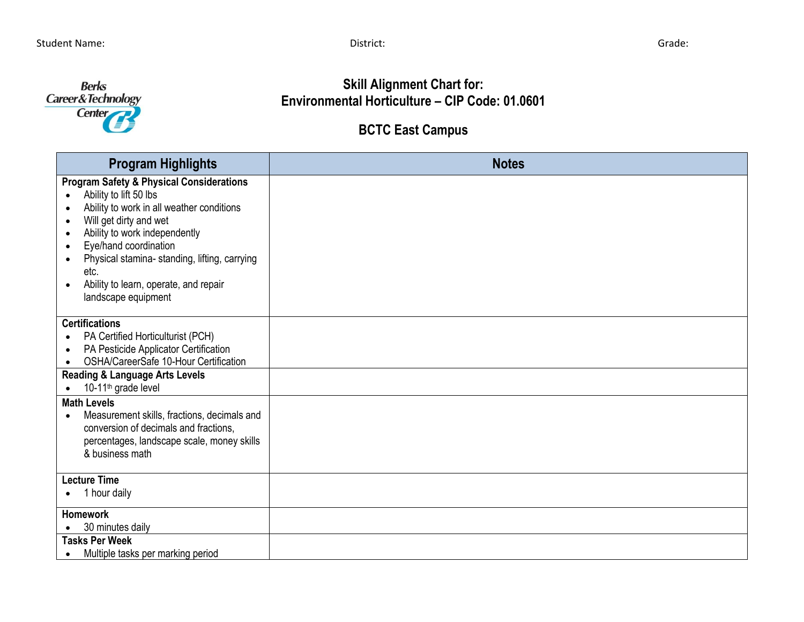

**Skill Alignment Chart for: Environmental Horticulture – CIP Code: 01.0601**

## **BCTC East Campus**

| <b>Program Highlights</b>                                                                                                                                                                                                                                                                                                                                                                                                          | <b>Notes</b> |
|------------------------------------------------------------------------------------------------------------------------------------------------------------------------------------------------------------------------------------------------------------------------------------------------------------------------------------------------------------------------------------------------------------------------------------|--------------|
| <b>Program Safety &amp; Physical Considerations</b><br>Ability to lift 50 lbs<br>$\bullet$<br>Ability to work in all weather conditions<br>$\bullet$<br>Will get dirty and wet<br>$\bullet$<br>Ability to work independently<br>$\bullet$<br>Eye/hand coordination<br>$\bullet$<br>Physical stamina- standing, lifting, carrying<br>$\bullet$<br>etc.<br>Ability to learn, operate, and repair<br>$\bullet$<br>landscape equipment |              |
| <b>Certifications</b><br>PA Certified Horticulturist (PCH)<br>PA Pesticide Applicator Certification<br>$\bullet$<br>OSHA/CareerSafe 10-Hour Certification<br>$\bullet$                                                                                                                                                                                                                                                             |              |
| <b>Reading &amp; Language Arts Levels</b><br>10-11 <sup>th</sup> grade level<br>$\bullet$                                                                                                                                                                                                                                                                                                                                          |              |
| <b>Math Levels</b><br>Measurement skills, fractions, decimals and<br>conversion of decimals and fractions,<br>percentages, landscape scale, money skills<br>& business math                                                                                                                                                                                                                                                        |              |
| <b>Lecture Time</b><br>1 hour daily<br>$\bullet$                                                                                                                                                                                                                                                                                                                                                                                   |              |
| <b>Homework</b><br>30 minutes daily                                                                                                                                                                                                                                                                                                                                                                                                |              |
| <b>Tasks Per Week</b><br>Multiple tasks per marking period                                                                                                                                                                                                                                                                                                                                                                         |              |